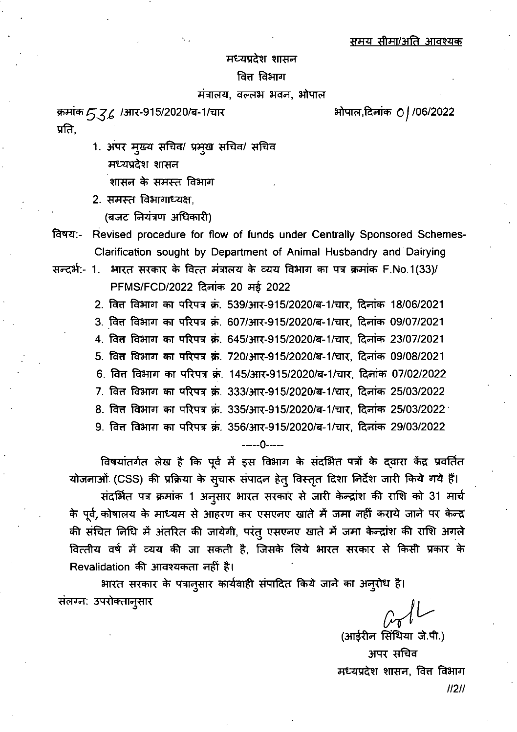#### मध्यप्रदेश शासन

## वित्त विभाग

## मंत्रालय, वल्लभ भवन, भोपाल

क्रमांक 536 /आर-915/2020/ब-1/चार प्रति.

- 1. अपर मुख्य सचिव/ प्रमुख सचिव/ सचिव मध्यप्रदेश शासन शासन के समस्त विभाग
- 2. समस्त विभागाध्यक्ष.
	- (बजट नियंत्रण अधिकारी)
- Revised procedure for flow of funds under Centrally Sponsored Schemes-विषय:-Clarification sought by Department of Animal Husbandry and Dairying
- सन्दर्भ:- 1. भारत सरकार के वित्त मंत्रालय के व्यय विभाग का पत्र क्रमांक F.No.1(33)/ PFMS/FCD/2022 दिनांक 20 मई 2022
	- 2. वित विभाग का परिपत्र क्रं. 539/आर-915/2020/ब-1/चार, दिनांक 18/06/2021 3. वित्त विभाग का परिपत्र क्रं. 607/आर-915/2020/ब-1/चार, दिनांक 09/07/2021 4. वित विभाग का परिपत्र क्रं. 645/आर-915/2020/ब-1/चार, दिनांक 23/07/2021 5. वित्त विभाग का परिपत्र क्रं. 720/आर-915/2020/ब-1/चार, दिनांक 09/08/2021 6. वित विभाग का परिपत्र क्रं. 145/आर-915/2020/ब-1/चार, दिनांक 07/02/2022 7. वित विभाग का परिपत्र क्र. 333/आर-915/2020/ब-1/चार, दिनांक 25/03/2022 8. वित्त विभाग का परिपत्र क्रं. 335/आर-915/2020/ब-1/चार, दिनांक 25/03/2022

9. वित विभाग का परिपत्र क्रं. 356/आर-915/2020/ब-1/चार, दिनांक 29/03/2022

-----0-----

विषयांतर्गत लेख है कि पूर्व में इस विभाग के संदर्भित पत्रों के द्वारा केंद्र प्रवर्तित योजनाओं (CSS) की प्रक्रिया के सुचारू संपादन हेतु विस्तृत दिशा निर्देश जारी किये गये हैं। संदर्भित पत्र क्रमांक 1 अनुसार भारत सरकार से जारी केन्द्रांश की राशि को 31 मार्च के पूर्व, कोषालय के माध्यम से आहरण कर एसएनए खाते में जमा नहीं कराये जाने पर केन्द्र की संचित निधि में अंतरित की जायेगी, परंतु एसएनए खाते में जमा केन्द्रांश की राशि अगले वित्तीय वर्ष में व्यय की जा सकती है, जिसके लिये भारत सरकार से किसी प्रकार के Revalidation की आवश्यकता नहीं है।

भारत सरकार के पत्रानुसार कार्यवाही संपादित किये जाने का अनुरोध है। संलग्न: उपरोक्तानुसार

(आईरीन सिंथिया जे.पी.) अपर सचिव

मध्यप्रदेश शासन, वित्त विभाग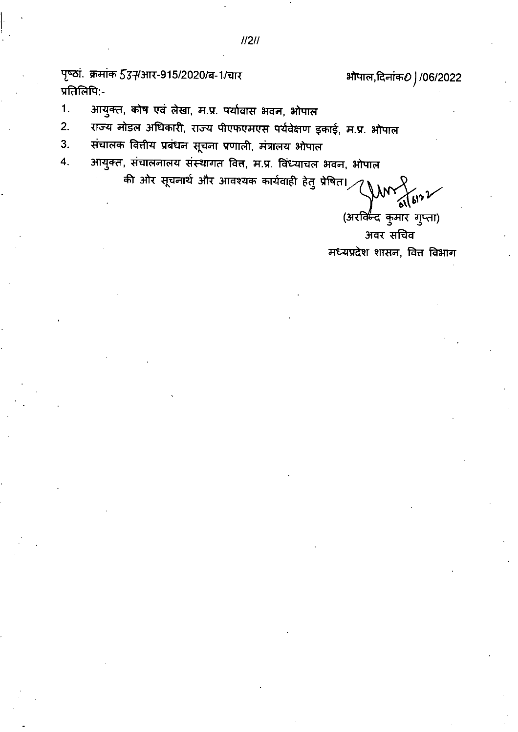पृष्ठां. क्रमांक 537/आर-915/2020/ब-1/चार प्रतिलिपि:-

# भोपाल,दिनांक*0* | /06/2022

- $\mathbf{1}$ . आयुक्त, कोष एवं लेखा, म.प्र. पर्यावास भवन, भोपाल
- राज्य नोडल अधिकारी, राज्य पीएफएमएस पर्यवेक्षण इकाई, म.प्र. भोपाल  $2.$
- $3.$ संचालक वित्तीय प्रबंधन सूचना प्रणाली, मंत्रालय भोपाल
- आयुक्त, संचालनालय संस्थागत वित्त, म.प्र. विंध्याचल भवन, भोपाल  $\overline{4}$ .

की ओर सूचनार्थ और आवश्यक कार्यवाही हेतु प्रेषित।<sub>,</sub>

(अरक्किंद कुमार गुप्ता)

अवर सचिव मध्यप्रदेश शासन, वित्त विभाग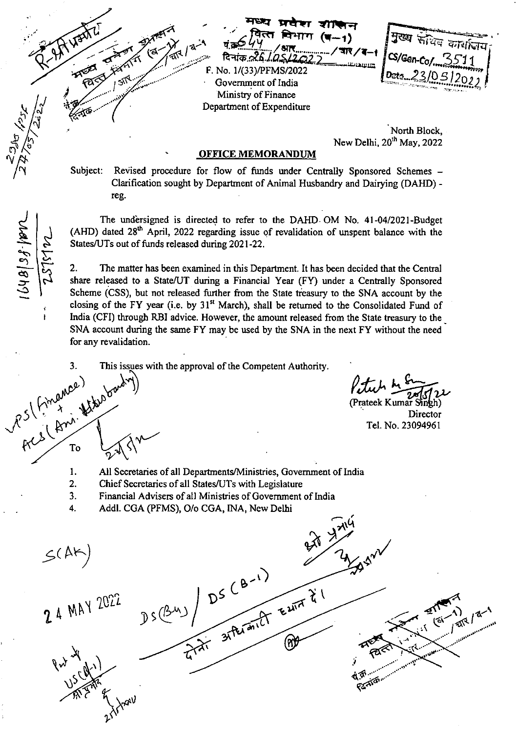संख्य कार्यालय

'North Block, New Delhi,  $20<sup>th</sup>$  May, 2022

### **OFFICE MEMORANDUM**

F. No. 1/(33)/PFMS/2022 Government of India Ministry of Finance Department of Expenditure

मध्य प्र<del>देश शाक</del>्षन

**/\*P-TrIT (11-1)** 

Subject: Revised procedure for flow of funds under Centrally Sponsored Schemes — Clarification sought by Department of Animal Husbandry and Dairying (DAHD) reg.

The undersigned is directed to refer to the DAHD OM No. 41-04/2021-Budget (AHD) dated  $28<sup>th</sup>$  April, 2022 regarding issue of revalidation of unspent balance with the States/UTs out of funds released during 2021-22.

2. The matter has been examined in this Department. It has been decided that the Central share released to a State/UT during a Financial Year (FY) under a Centrally Sponsored Scheme (CSS), but not released further from the State treasury to the SNA account by the closing of the FY year (i.e. by  $31<sup>st</sup>$  March), shall be returned to the Consolidated Fund of India (CFI) through RBI advice. However, the amount released from the State treasury to the \_ SNA account during the same FY may be used by the SNA in the next FY without the need for any revalidation.<br>3. This issues w<br>3. This issues w<br>3. This issues w<br>(1)<br> $\mathcal{R}^5$  (1)<br> $\mathcal{R}^6$  (2)

This issues with the approval of the Competent Authority.

 $0.18137.000$ 

Petech

(Prateek Kumar Singh) **Director** Tel. No. 23094961

1. All Secretaries of all Departments/Ministries, Government of India

- 2. Chief Secretaries of all States/UTs with Legislature
- $\overline{3}$ . Financial Advisers of all Ministries of Government of India
- $\overline{4}$ . Addl. CGA (PFMS), 0/o CGA, [NA, New Delhi

 $D S(\frac{\beta_{11}}{2})$   $D S(\frac{\beta_{11}}{2})$  $S(145)$ 2 4 MAY 2022  $\frac{1}{315}$ ୧ଽ